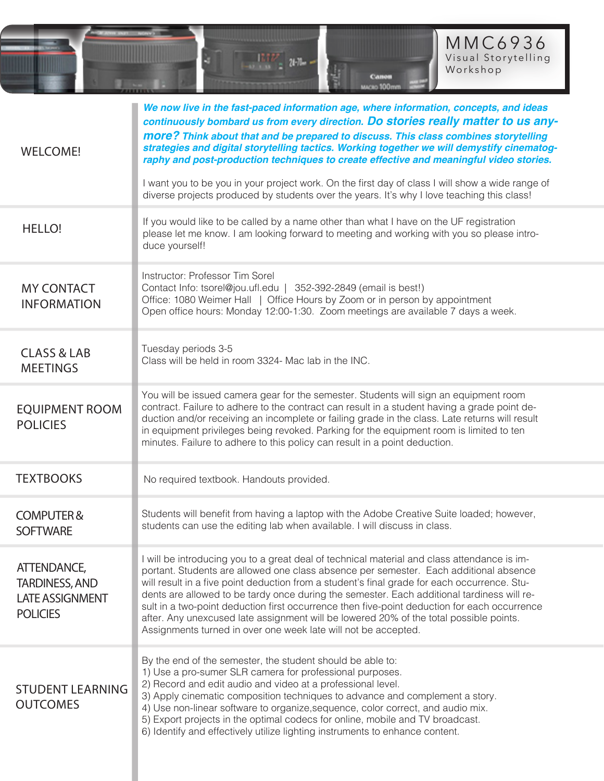

| <b>WELCOME!</b>                                                                   | We now live in the fast-paced information age, where information, concepts, and ideas<br>continuously bombard us from every direction. Do stories really matter to us any-<br>more? Think about that and be prepared to discuss. This class combines storytelling<br>strategies and digital storytelling tactics. Working together we will demystify cinematog-<br>raphy and post-production techniques to create effective and meaningful video stories.<br>I want you to be you in your project work. On the first day of class I will show a wide range of<br>diverse projects produced by students over the years. It's why I love teaching this class! |  |
|-----------------------------------------------------------------------------------|-------------------------------------------------------------------------------------------------------------------------------------------------------------------------------------------------------------------------------------------------------------------------------------------------------------------------------------------------------------------------------------------------------------------------------------------------------------------------------------------------------------------------------------------------------------------------------------------------------------------------------------------------------------|--|
| <b>HELLO!</b>                                                                     | If you would like to be called by a name other than what I have on the UF registration<br>please let me know. I am looking forward to meeting and working with you so please intro-<br>duce yourself!                                                                                                                                                                                                                                                                                                                                                                                                                                                       |  |
| <b>MY CONTACT</b><br><b>INFORMATION</b>                                           | Instructor: Professor Tim Sorel<br>Contact Info: tsorel@jou.ufl.edu   352-392-2849 (email is best!)<br>Office: 1080 Weimer Hall   Office Hours by Zoom or in person by appointment<br>Open office hours: Monday 12:00-1:30. Zoom meetings are available 7 days a week.                                                                                                                                                                                                                                                                                                                                                                                      |  |
| <b>CLASS &amp; LAB</b><br><b>MEETINGS</b>                                         | Tuesday periods 3-5<br>Class will be held in room 3324- Mac lab in the INC.                                                                                                                                                                                                                                                                                                                                                                                                                                                                                                                                                                                 |  |
| <b>EQUIPMENT ROOM</b><br><b>POLICIES</b>                                          | You will be issued camera gear for the semester. Students will sign an equipment room<br>contract. Failure to adhere to the contract can result in a student having a grade point de-<br>duction and/or receiving an incomplete or failing grade in the class. Late returns will result<br>in equipment privileges being revoked. Parking for the equipment room is limited to ten<br>minutes. Failure to adhere to this policy can result in a point deduction.                                                                                                                                                                                            |  |
| <b>TEXTBOOKS</b>                                                                  | No required textbook. Handouts provided.                                                                                                                                                                                                                                                                                                                                                                                                                                                                                                                                                                                                                    |  |
| <b>COMPUTER&amp;</b><br><b>SOFTWARE</b>                                           | Students will benefit from having a laptop with the Adobe Creative Suite loaded; however,<br>students can use the editing lab when available. I will discuss in class.                                                                                                                                                                                                                                                                                                                                                                                                                                                                                      |  |
| ATTENDANCE,<br><b>TARDINESS, AND</b><br><b>LATE ASSIGNMENT</b><br><b>POLICIES</b> | I will be introducing you to a great deal of technical material and class attendance is im-<br>portant. Students are allowed one class absence per semester. Each additional absence<br>will result in a five point deduction from a student's final grade for each occurrence. Stu-<br>dents are allowed to be tardy once during the semester. Each additional tardiness will re-<br>sult in a two-point deduction first occurrence then five-point deduction for each occurrence<br>after. Any unexcused late assignment will be lowered 20% of the total possible points.<br>Assignments turned in over one week late will not be accepted.              |  |
| <b>STUDENT LEARNING</b><br><b>OUTCOMES</b>                                        | By the end of the semester, the student should be able to:<br>1) Use a pro-sumer SLR camera for professional purposes.<br>2) Record and edit audio and video at a professional level.<br>3) Apply cinematic composition techniques to advance and complement a story.<br>4) Use non-linear software to organize, sequence, color correct, and audio mix.<br>5) Export projects in the optimal codecs for online, mobile and TV broadcast.<br>6) Identify and effectively utilize lighting instruments to enhance content.                                                                                                                                   |  |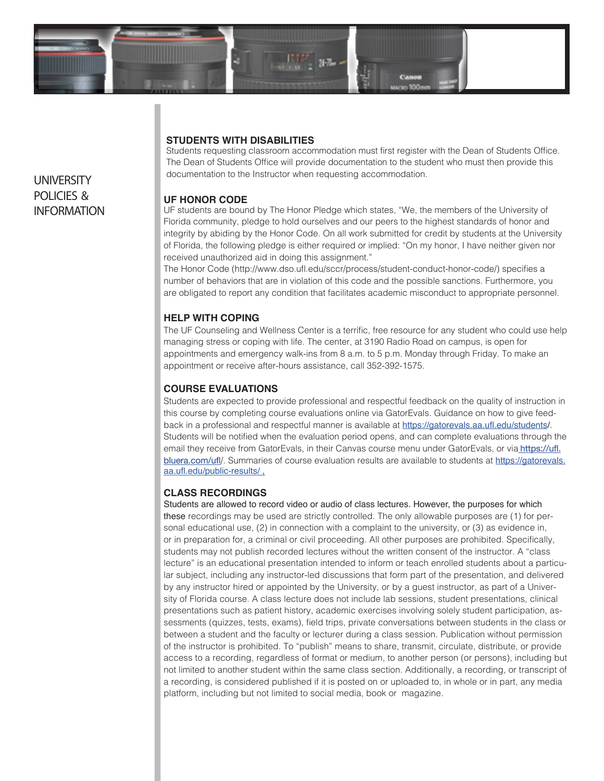

# **STUDENTS WITH DISABILITIES**

Students requesting classroom accommodation must first register with the Dean of Students Office. The Dean of Students Office will provide documentation to the student who must then provide this documentation to the Instructor when requesting accommodation.

### **UF HONOR CODE**

UF students are bound by The Honor Pledge which states, "We, the members of the University of Florida community, pledge to hold ourselves and our peers to the highest standards of honor and integrity by abiding by the Honor Code. On all work submitted for credit by students at the University of Florida, the following pledge is either required or implied: "On my honor, I have neither given nor received unauthorized aid in doing this assignment."

The Honor Code (http://www.dso.ufl.edu/sccr/process/student-conduct-honor-code/) specifies a number of behaviors that are in violation of this code and the possible sanctions. Furthermore, you are obligated to report any condition that facilitates academic misconduct to appropriate personnel.

# **HELP WITH COPING**

The UF Counseling and Wellness Center is a terrific, free resource for any student who could use help managing stress or coping with life. The center, at 3190 Radio Road on campus, is open for appointments and emergency walk-ins from 8 a.m. to 5 p.m. Monday through Friday. To make an appointment or receive after-hours assistance, call 352-392-1575.

# **COURSE EVALUATIONS**

Students are expected to provide professional and respectful feedback on the quality of instruction in this course by completing course evaluations online via GatorEvals. Guidance on how to give feedback in a professional and respectful manner is available at https://gatorevals.aa.ufl.edu/students/. Students will be notified when the evaluation period opens, and can complete evaluations through the email they receive from GatorEvals, in their Canvas course menu under GatorEvals, or via **https://ufl.** bluera.com/ufl/. Summaries of course evaluation results are available to students at https://gatorevals. aa.ufl.edu/public-results/ ,

### **CLASS RECORDINGS**

Students are allowed to record video or audio of class lectures. However, the purposes for which these recordings may be used are strictly controlled. The only allowable purposes are (1) for personal educational use, (2) in connection with a complaint to the university, or (3) as evidence in, or in preparation for, a criminal or civil proceeding. All other purposes are prohibited. Specifically, students may not publish recorded lectures without the written consent of the instructor. A "class lecture" is an educational presentation intended to inform or teach enrolled students about a particular subject, including any instructor-led discussions that form part of the presentation, and delivered by any instructor hired or appointed by the University, or by a guest instructor, as part of a University of Florida course. A class lecture does not include lab sessions, student presentations, clinical presentations such as patient history, academic exercises involving solely student participation, assessments (quizzes, tests, exams), field trips, private conversations between students in the class or between a student and the faculty or lecturer during a class session. Publication without permission of the instructor is prohibited. To "publish" means to share, transmit, circulate, distribute, or provide access to a recording, regardless of format or medium, to another person (or persons), including but not limited to another student within the same class section. Additionally, a recording, or transcript of a recording, is considered published if it is posted on or uploaded to, in whole or in part, any media platform, including but not limited to social media, book or magazine.

# **UNIVERSITY** POLICIES & INFORMATION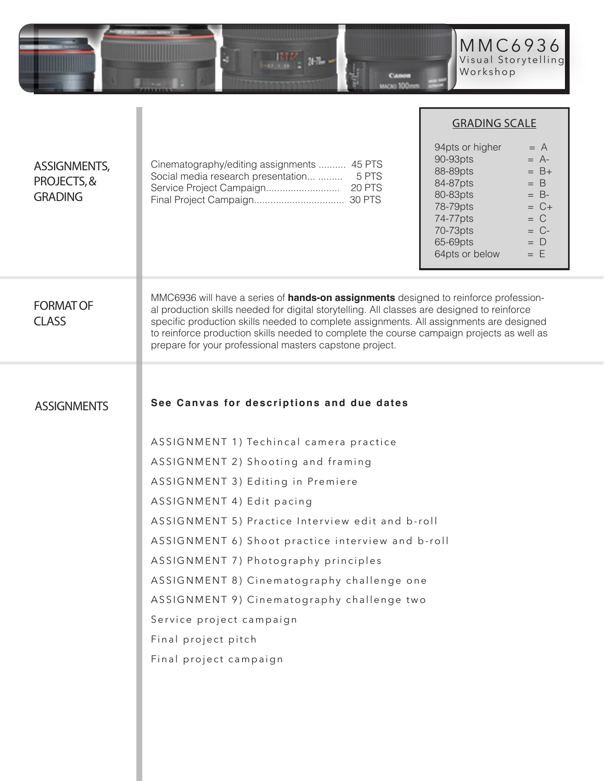

|                                                      |                                                                                                                                                                                                                                                                                                                                                                                                                                               | <b>GRADING SCALE</b>                                                                                                                                                                                                                 |  |
|------------------------------------------------------|-----------------------------------------------------------------------------------------------------------------------------------------------------------------------------------------------------------------------------------------------------------------------------------------------------------------------------------------------------------------------------------------------------------------------------------------------|--------------------------------------------------------------------------------------------------------------------------------------------------------------------------------------------------------------------------------------|--|
| <b>ASSIGNMENTS,</b><br>PROJECTS, &<br><b>GRADING</b> | Cinematography/editing assignments  45 PTS<br>Social media research presentation  5 PTS                                                                                                                                                                                                                                                                                                                                                       | 94pts or higher<br>$= A$<br>90-93pts<br>$= A$ -<br>88-89pts<br>$= B+$<br>84-87pts<br>$= B$<br>80-83pts<br>$= B$ -<br>78-79pts<br>$= C +$<br>$= C$<br>74-77pts<br>70-73pts<br>$= C$ -<br>65-69pts<br>$= D$<br>64pts or below<br>$= E$ |  |
| <b>FORMAT OF</b><br><b>CLASS</b>                     | MMC6936 will have a series of <b>hands-on assignments</b> designed to reinforce profession-<br>al production skills needed for digital storytelling. All classes are designed to reinforce<br>specific production skills needed to complete assignments. All assignments are designed<br>to reinforce production skills needed to complete the course campaign projects as well as<br>prepare for your professional masters capstone project. |                                                                                                                                                                                                                                      |  |
|                                                      |                                                                                                                                                                                                                                                                                                                                                                                                                                               |                                                                                                                                                                                                                                      |  |
| <b>ASSIGNMENTS</b>                                   | See Canvas for descriptions and due dates                                                                                                                                                                                                                                                                                                                                                                                                     |                                                                                                                                                                                                                                      |  |
|                                                      | ASSIGNMENT 1) Techincal camera practice                                                                                                                                                                                                                                                                                                                                                                                                       |                                                                                                                                                                                                                                      |  |
|                                                      | ASSIGNMENT 2) Shooting and framing                                                                                                                                                                                                                                                                                                                                                                                                            |                                                                                                                                                                                                                                      |  |
|                                                      | ASSIGNMENT 3) Editing in Premiere                                                                                                                                                                                                                                                                                                                                                                                                             |                                                                                                                                                                                                                                      |  |
|                                                      | ASSIGNMENT 4) Edit pacing                                                                                                                                                                                                                                                                                                                                                                                                                     |                                                                                                                                                                                                                                      |  |
|                                                      | ASSIGNMENT 5) Practice Interview edit and b-roll                                                                                                                                                                                                                                                                                                                                                                                              |                                                                                                                                                                                                                                      |  |
|                                                      | ASSIGNMENT 6) Shoot practice interview and b-roll                                                                                                                                                                                                                                                                                                                                                                                             |                                                                                                                                                                                                                                      |  |
|                                                      | ASSIGNMENT 7) Photography principles                                                                                                                                                                                                                                                                                                                                                                                                          |                                                                                                                                                                                                                                      |  |
|                                                      | ASSIGNMENT 8) Cinematography challenge one                                                                                                                                                                                                                                                                                                                                                                                                    |                                                                                                                                                                                                                                      |  |
|                                                      | ASSIGNMENT 9) Cinematography challenge two                                                                                                                                                                                                                                                                                                                                                                                                    |                                                                                                                                                                                                                                      |  |
|                                                      | Service project campaign                                                                                                                                                                                                                                                                                                                                                                                                                      |                                                                                                                                                                                                                                      |  |
|                                                      | Final project pitch                                                                                                                                                                                                                                                                                                                                                                                                                           |                                                                                                                                                                                                                                      |  |
|                                                      | Final project campaign                                                                                                                                                                                                                                                                                                                                                                                                                        |                                                                                                                                                                                                                                      |  |
|                                                      |                                                                                                                                                                                                                                                                                                                                                                                                                                               |                                                                                                                                                                                                                                      |  |
|                                                      |                                                                                                                                                                                                                                                                                                                                                                                                                                               |                                                                                                                                                                                                                                      |  |